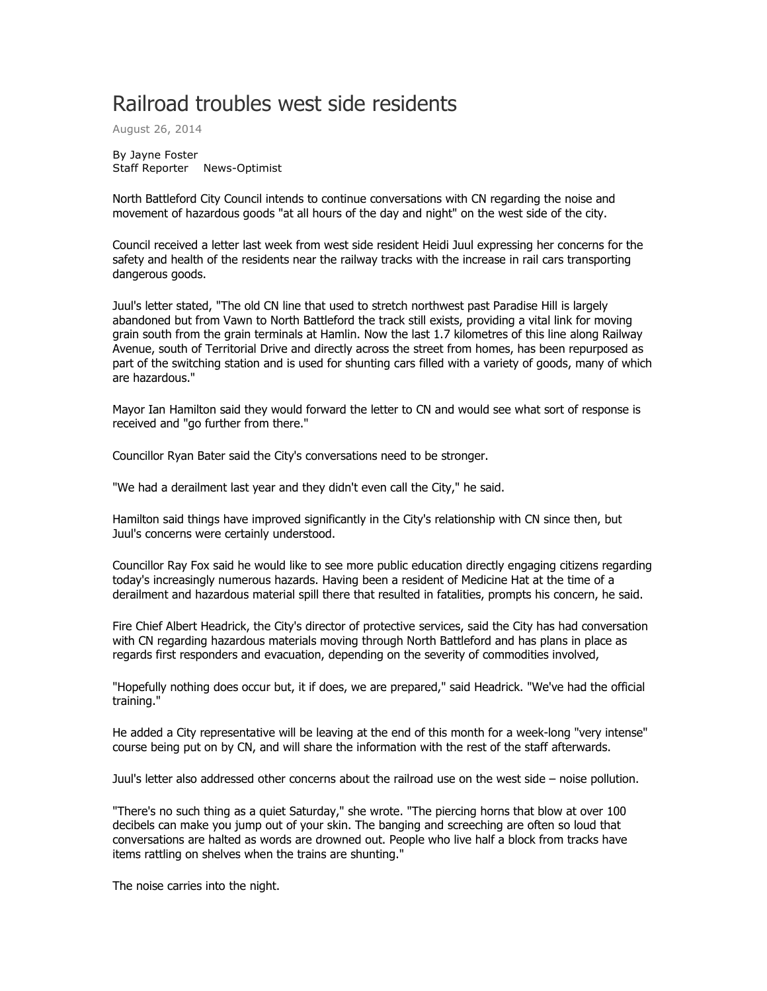## Railroad troubles west side residents

August 26, 2014

By Jayne Foster Staff Reporter News-Optimist

North Battleford City Council intends to continue conversations with CN regarding the noise and movement of hazardous goods "at all hours of the day and night" on the west side of the city.

Council received a letter last week from west side resident Heidi Juul expressing her concerns for the safety and health of the residents near the railway tracks with the increase in rail cars transporting dangerous goods.

Juul's letter stated, "The old CN line that used to stretch northwest past Paradise Hill is largely abandoned but from Vawn to North Battleford the track still exists, providing a vital link for moving grain south from the grain terminals at Hamlin. Now the last 1.7 kilometres of this line along Railway Avenue, south of Territorial Drive and directly across the street from homes, has been repurposed as part of the switching station and is used for shunting cars filled with a variety of goods, many of which are hazardous."

Mayor Ian Hamilton said they would forward the letter to CN and would see what sort of response is received and "go further from there."

Councillor Ryan Bater said the City's conversations need to be stronger.

"We had a derailment last year and they didn't even call the City," he said.

Hamilton said things have improved significantly in the City's relationship with CN since then, but Juul's concerns were certainly understood.

Councillor Ray Fox said he would like to see more public education directly engaging citizens regarding today's increasingly numerous hazards. Having been a resident of Medicine Hat at the time of a derailment and hazardous material spill there that resulted in fatalities, prompts his concern, he said.

Fire Chief Albert Headrick, the City's director of protective services, said the City has had conversation with CN regarding hazardous materials moving through North Battleford and has plans in place as regards first responders and evacuation, depending on the severity of commodities involved,

"Hopefully nothing does occur but, it if does, we are prepared," said Headrick. "We've had the official training."

He added a City representative will be leaving at the end of this month for a week-long "very intense" course being put on by CN, and will share the information with the rest of the staff afterwards.

Juul's letter also addressed other concerns about the railroad use on the west side – noise pollution.

"There's no such thing as a quiet Saturday," she wrote. "The piercing horns that blow at over 100 decibels can make you jump out of your skin. The banging and screeching are often so loud that conversations are halted as words are drowned out. People who live half a block from tracks have items rattling on shelves when the trains are shunting."

The noise carries into the night.